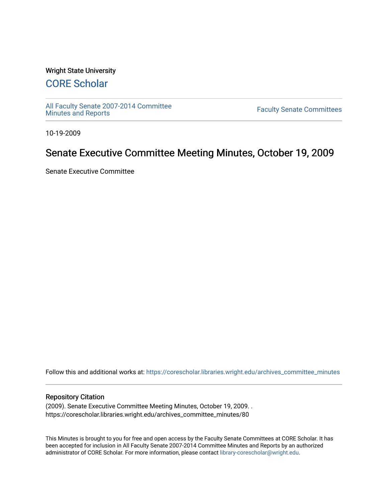## Wright State University

# [CORE Scholar](https://corescholar.libraries.wright.edu/)

[All Faculty Senate 2007-2014 Committee](https://corescholar.libraries.wright.edu/archives_committee_minutes)

**Faculty Senate Committees** 

10-19-2009

# Senate Executive Committee Meeting Minutes, October 19, 2009

Senate Executive Committee

Follow this and additional works at: [https://corescholar.libraries.wright.edu/archives\\_committee\\_minutes](https://corescholar.libraries.wright.edu/archives_committee_minutes?utm_source=corescholar.libraries.wright.edu%2Farchives_committee_minutes%2F80&utm_medium=PDF&utm_campaign=PDFCoverPages) 

#### Repository Citation

(2009). Senate Executive Committee Meeting Minutes, October 19, 2009. . https://corescholar.libraries.wright.edu/archives\_committee\_minutes/80

This Minutes is brought to you for free and open access by the Faculty Senate Committees at CORE Scholar. It has been accepted for inclusion in All Faculty Senate 2007-2014 Committee Minutes and Reports by an authorized administrator of CORE Scholar. For more information, please contact [library-corescholar@wright.edu.](mailto:library-corescholar@wright.edu)